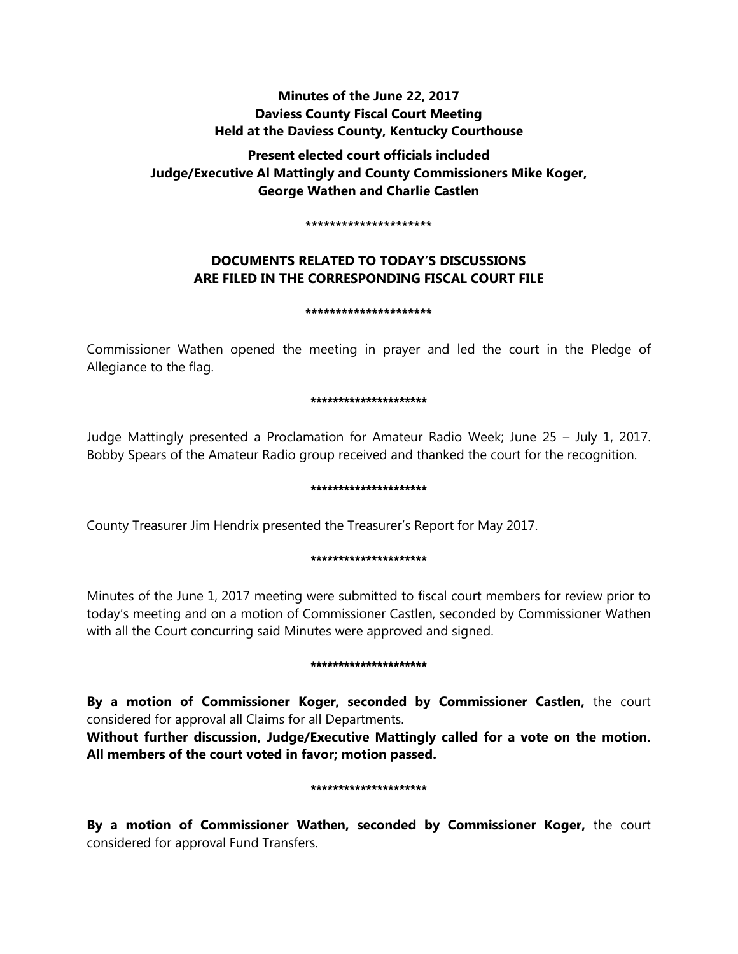# **Minutes of the June 22, 2017 Daviess County Fiscal Court Meeting Held at the Daviess County, Kentucky Courthouse**

**Present elected court officials included Judge/Executive Al Mattingly and County Commissioners Mike Koger, George Wathen and Charlie Castlen** 

#### **\*\*\*\*\*\*\*\*\*\*\*\*\*\*\*\*\*\*\*\*\***

# **DOCUMENTS RELATED TO TODAY'S DISCUSSIONS ARE FILED IN THE CORRESPONDING FISCAL COURT FILE**

### **\*\*\*\*\*\*\*\*\*\*\*\*\*\*\*\*\*\*\*\*\***

Commissioner Wathen opened the meeting in prayer and led the court in the Pledge of Allegiance to the flag.

#### \*\*\*\*\*\*\*\*\*\*\*\*\*\*\*\*\*\*\*\*\*

Judge Mattingly presented a Proclamation for Amateur Radio Week; June 25 – July 1, 2017. Bobby Spears of the Amateur Radio group received and thanked the court for the recognition.

#### \*\*\*\*\*\*\*\*\*\*\*\*\*\*\*\*\*\*\*\*\*

County Treasurer Jim Hendrix presented the Treasurer's Report for May 2017.

### \*\*\*\*\*\*\*\*\*\*\*\*\*\*\*\*\*\*\*\*

Minutes of the June 1, 2017 meeting were submitted to fiscal court members for review prior to today's meeting and on a motion of Commissioner Castlen, seconded by Commissioner Wathen with all the Court concurring said Minutes were approved and signed.

### \*\*\*\*\*\*\*\*\*\*\*\*\*\*\*\*\*\*\*\*\*

**By a motion of Commissioner Koger, seconded by Commissioner Castlen,** the court considered for approval all Claims for all Departments.

**Without further discussion, Judge/Executive Mattingly called for a vote on the motion. All members of the court voted in favor; motion passed.** 

### \*\*\*\*\*\*\*\*\*\*\*\*\*\*\*\*\*\*\*\*\*

**By a motion of Commissioner Wathen, seconded by Commissioner Koger,** the court considered for approval Fund Transfers.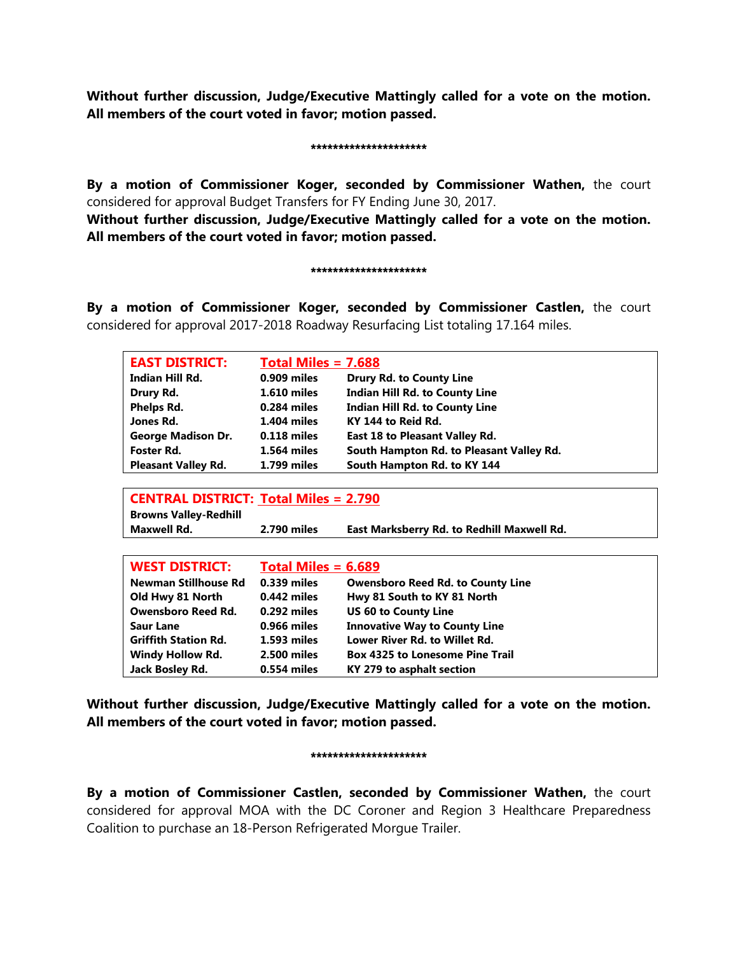**Without further discussion, Judge/Executive Mattingly called for a vote on the motion. All members of the court voted in favor; motion passed.** 

#### \*\*\*\*\*\*\*\*\*\*\*\*\*\*\*\*\*\*\*\*\*

**By a motion of Commissioner Koger, seconded by Commissioner Wathen,** the court considered for approval Budget Transfers for FY Ending June 30, 2017.

**Without further discussion, Judge/Executive Mattingly called for a vote on the motion. All members of the court voted in favor; motion passed.** 

#### \*\*\*\*\*\*\*\*\*\*\*\*\*\*\*\*\*\*\*\*\*

**By a motion of Commissioner Koger, seconded by Commissioner Castlen,** the court considered for approval 2017-2018 Roadway Resurfacing List totaling 17.164 miles.

| <b>EAST DISTRICT:</b>                        | Total Miles $= 7.688$ |                                            |  |
|----------------------------------------------|-----------------------|--------------------------------------------|--|
| Indian Hill Rd.                              | $0.909$ miles         | <b>Drury Rd. to County Line</b>            |  |
| Drury Rd.                                    | <b>1.610 miles</b>    | <b>Indian Hill Rd. to County Line</b>      |  |
| Phelps Rd.                                   | 0.284 miles           | <b>Indian Hill Rd. to County Line</b>      |  |
| Jones Rd.                                    | <b>1.404 miles</b>    | KY 144 to Reid Rd.                         |  |
| <b>George Madison Dr.</b>                    | 0.118 miles           | <b>East 18 to Pleasant Valley Rd.</b>      |  |
| Foster Rd.                                   | <b>1.564 miles</b>    | South Hampton Rd. to Pleasant Valley Rd.   |  |
| <b>Pleasant Valley Rd.</b>                   | <b>1.799 miles</b>    | South Hampton Rd. to KY 144                |  |
|                                              |                       |                                            |  |
| <b>CENTRAL DISTRICT: Total Miles = 2.790</b> |                       |                                            |  |
| <b>Browns Valley-Redhill</b>                 |                       |                                            |  |
| Maxwell Rd.                                  | 2.790 miles           | East Marksberry Rd. to Redhill Maxwell Rd. |  |
|                                              |                       |                                            |  |
| <b>WEST DISTRICT:</b>                        | Total Miles $= 6.689$ |                                            |  |
| Newman Stillhouse Rd                         | 0.339 miles           | <b>Owensboro Reed Rd. to County Line</b>   |  |
| Old Hwy 81 North                             | 0.442 miles           | Hwy 81 South to KY 81 North                |  |
| <b>Owensboro Reed Rd.</b>                    | 0.292 miles           | <b>US 60 to County Line</b>                |  |
| <b>Saur Lane</b>                             | 0.966 miles           | <b>Innovative Way to County Line</b>       |  |
| <b>Griffith Station Rd.</b>                  | 1.593 miles           | Lower River Rd, to Willet Rd.              |  |
| <b>Windy Hollow Rd.</b>                      | 2.500 miles           | <b>Box 4325 to Lonesome Pine Trail</b>     |  |
| Jack Bosley Rd.                              | 0.554 miles           | KY 279 to asphalt section                  |  |

**Without further discussion, Judge/Executive Mattingly called for a vote on the motion. All members of the court voted in favor; motion passed.** 

### \*\*\*\*\*\*\*\*\*\*\*\*\*\*\*\*\*\*\*\*\*

**By a motion of Commissioner Castlen, seconded by Commissioner Wathen,** the court considered for approval MOA with the DC Coroner and Region 3 Healthcare Preparedness Coalition to purchase an 18-Person Refrigerated Morgue Trailer.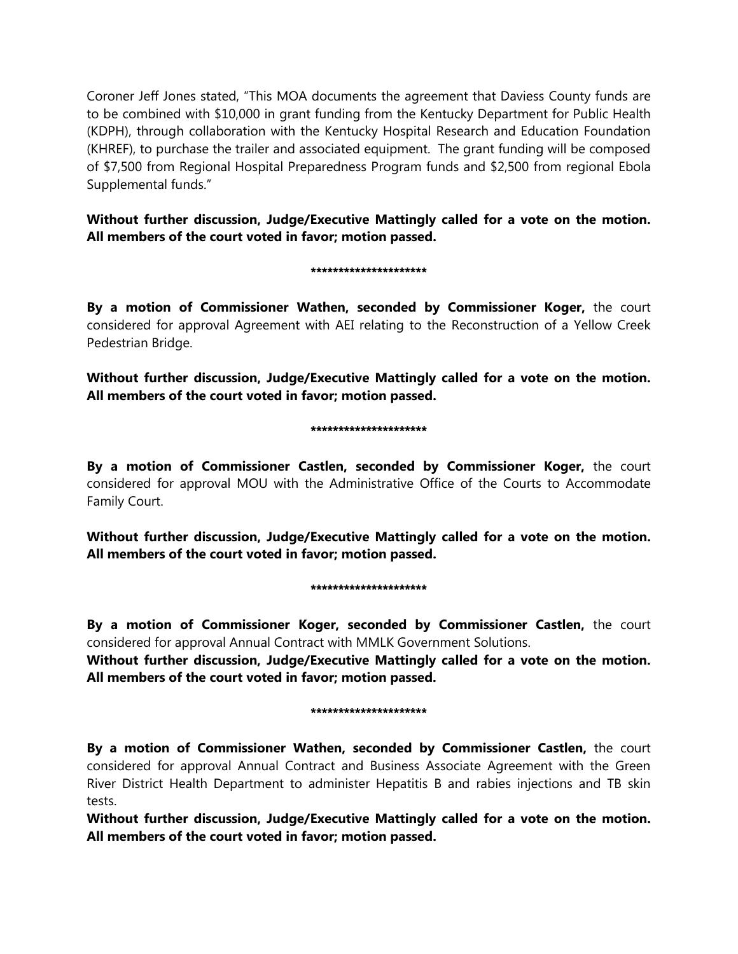Coroner Jeff Jones stated, "This MOA documents the agreement that Daviess County funds are to be combined with \$10,000 in grant funding from the Kentucky Department for Public Health (KDPH), through collaboration with the Kentucky Hospital Research and Education Foundation (KHREF), to purchase the trailer and associated equipment. The grant funding will be composed of \$7,500 from Regional Hospital Preparedness Program funds and \$2,500 from regional Ebola Supplemental funds."

**Without further discussion, Judge/Executive Mattingly called for a vote on the motion. All members of the court voted in favor; motion passed.** 

### \*\*\*\*\*\*\*\*\*\*\*\*\*\*\*\*\*\*\*\*\*

**By a motion of Commissioner Wathen, seconded by Commissioner Koger,** the court considered for approval Agreement with AEI relating to the Reconstruction of a Yellow Creek Pedestrian Bridge.

**Without further discussion, Judge/Executive Mattingly called for a vote on the motion. All members of the court voted in favor; motion passed.** 

#### \*\*\*\*\*\*\*\*\*\*\*\*\*\*\*\*\*\*\*\*\*

**By a motion of Commissioner Castlen, seconded by Commissioner Koger,** the court considered for approval MOU with the Administrative Office of the Courts to Accommodate Family Court.

**Without further discussion, Judge/Executive Mattingly called for a vote on the motion. All members of the court voted in favor; motion passed.** 

### \*\*\*\*\*\*\*\*\*\*\*\*\*\*\*\*\*\*\*\*

**By a motion of Commissioner Koger, seconded by Commissioner Castlen,** the court considered for approval Annual Contract with MMLK Government Solutions.

**Without further discussion, Judge/Executive Mattingly called for a vote on the motion. All members of the court voted in favor; motion passed.** 

### \*\*\*\*\*\*\*\*\*\*\*\*\*\*\*\*\*\*\*\*\*

**By a motion of Commissioner Wathen, seconded by Commissioner Castlen,** the court considered for approval Annual Contract and Business Associate Agreement with the Green River District Health Department to administer Hepatitis B and rabies injections and TB skin tests.

**Without further discussion, Judge/Executive Mattingly called for a vote on the motion. All members of the court voted in favor; motion passed.**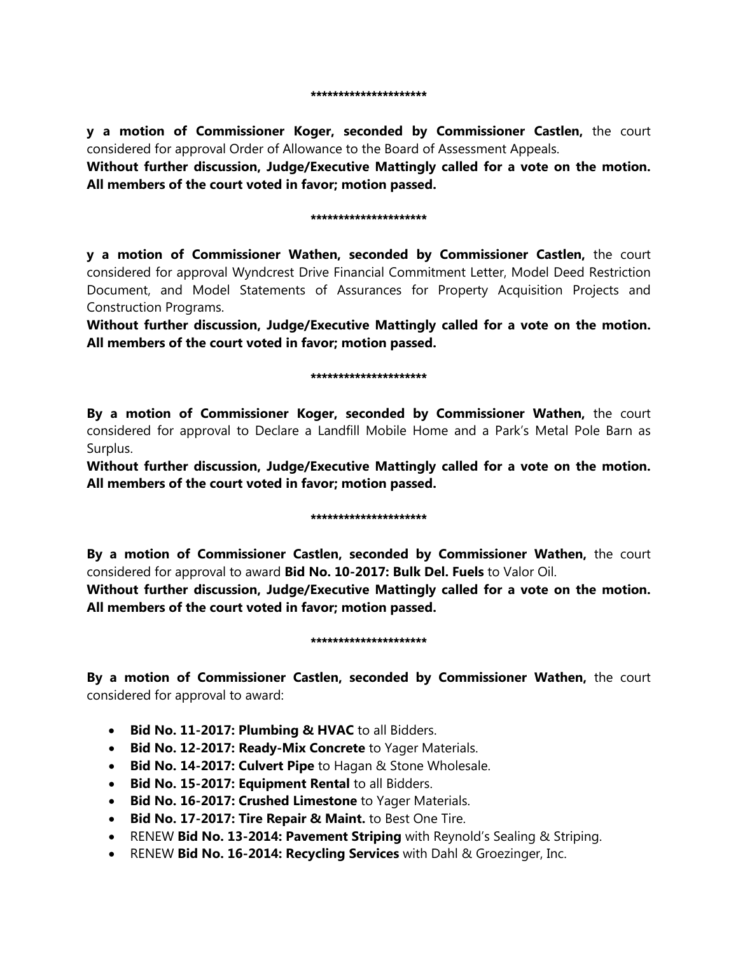**y a motion of Commissioner Koger, seconded by Commissioner Castlen,** the court considered for approval Order of Allowance to the Board of Assessment Appeals.

**Without further discussion, Judge/Executive Mattingly called for a vote on the motion. All members of the court voted in favor; motion passed.** 

### \*\*\*\*\*\*\*\*\*\*\*\*\*\*\*\*\*\*\*\*\*

**y a motion of Commissioner Wathen, seconded by Commissioner Castlen,** the court considered for approval Wyndcrest Drive Financial Commitment Letter, Model Deed Restriction Document, and Model Statements of Assurances for Property Acquisition Projects and Construction Programs.

**Without further discussion, Judge/Executive Mattingly called for a vote on the motion. All members of the court voted in favor; motion passed.** 

### \*\*\*\*\*\*\*\*\*\*\*\*\*\*\*\*\*\*

**By a motion of Commissioner Koger, seconded by Commissioner Wathen,** the court considered for approval to Declare a Landfill Mobile Home and a Park's Metal Pole Barn as Surplus.

**Without further discussion, Judge/Executive Mattingly called for a vote on the motion. All members of the court voted in favor; motion passed.** 

### \*\*\*\*\*\*\*\*\*\*\*\*\*\*\*\*\*\*\*

**By a motion of Commissioner Castlen, seconded by Commissioner Wathen,** the court considered for approval to award **Bid No. 10-2017: Bulk Del. Fuels** to Valor Oil.

**Without further discussion, Judge/Executive Mattingly called for a vote on the motion. All members of the court voted in favor; motion passed.** 

### \*\*\*\*\*\*\*\*\*\*\*\*\*\*\*\*\*\*\*

**By a motion of Commissioner Castlen, seconded by Commissioner Wathen,** the court considered for approval to award:

- **Bid No. 11-2017: Plumbing & HVAC** to all Bidders.
- **Bid No. 12-2017: Ready-Mix Concrete** to Yager Materials.
- **Bid No. 14-2017: Culvert Pipe** to Hagan & Stone Wholesale.
- **Bid No. 15-2017: Equipment Rental** to all Bidders.
- **Bid No. 16-2017: Crushed Limestone** to Yager Materials.
- **Bid No. 17-2017: Tire Repair & Maint.** to Best One Tire.
- RENEW **Bid No. 13-2014: Pavement Striping** with Reynold's Sealing & Striping.
- RENEW **Bid No. 16-2014: Recycling Services** with Dahl & Groezinger, Inc.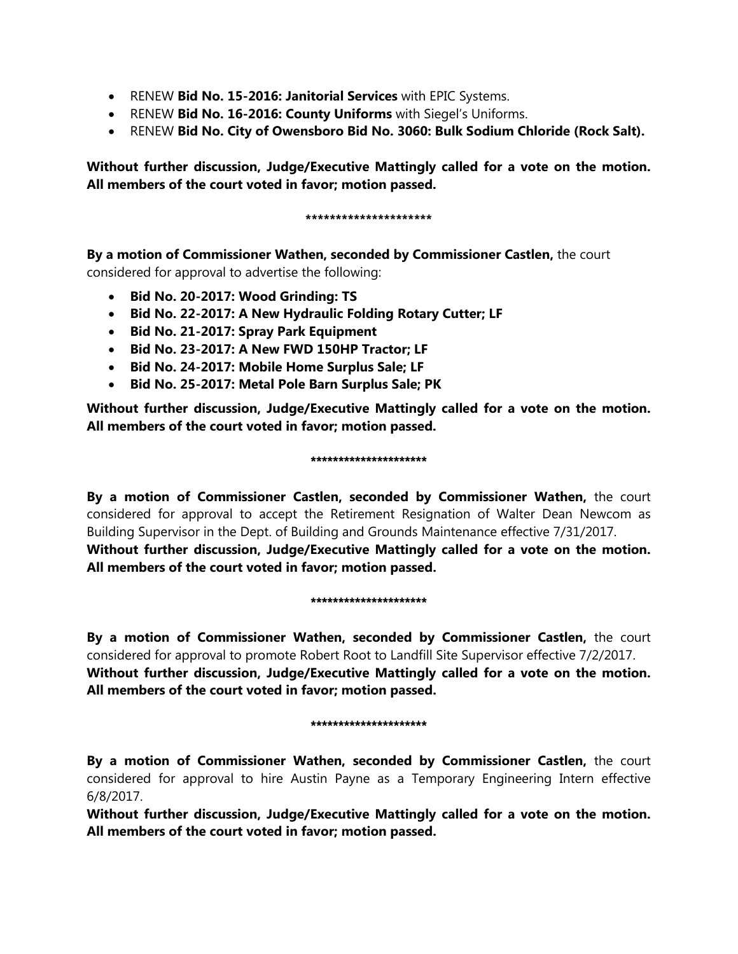- RENEW **Bid No. 15-2016: Janitorial Services** with EPIC Systems.
- RENEW **Bid No. 16-2016: County Uniforms** with Siegel's Uniforms.
- RENEW **Bid No. City of Owensboro Bid No. 3060: Bulk Sodium Chloride (Rock Salt).**

**Without further discussion, Judge/Executive Mattingly called for a vote on the motion. All members of the court voted in favor; motion passed.** 

### **\*\*\*\*\*\*\*\*\*\*\*\*\*\*\*\*\*\*\*\*\***

**By a motion of Commissioner Wathen, seconded by Commissioner Castlen,** the court

considered for approval to advertise the following:

- **Bid No. 20-2017: Wood Grinding: TS**
- **Bid No. 22-2017: A New Hydraulic Folding Rotary Cutter; LF**
- **Bid No. 21-2017: Spray Park Equipment**
- **Bid No. 23-2017: A New FWD 150HP Tractor; LF**
- **Bid No. 24-2017: Mobile Home Surplus Sale; LF**
- **Bid No. 25-2017: Metal Pole Barn Surplus Sale; PK**

**Without further discussion, Judge/Executive Mattingly called for a vote on the motion. All members of the court voted in favor; motion passed.** 

### \*\*\*\*\*\*\*\*\*\*\*\*\*\*\*\*\*\*\*\*\*

**By a motion of Commissioner Castlen, seconded by Commissioner Wathen,** the court considered for approval to accept the Retirement Resignation of Walter Dean Newcom as Building Supervisor in the Dept. of Building and Grounds Maintenance effective 7/31/2017. **Without further discussion, Judge/Executive Mattingly called for a vote on the motion. All members of the court voted in favor; motion passed.** 

### \*\*\*\*\*\*\*\*\*\*\*\*\*\*\*\*\*\*\*\*\*

**By a motion of Commissioner Wathen, seconded by Commissioner Castlen,** the court considered for approval to promote Robert Root to Landfill Site Supervisor effective 7/2/2017. **Without further discussion, Judge/Executive Mattingly called for a vote on the motion. All members of the court voted in favor; motion passed.** 

### \*\*\*\*\*\*\*\*\*\*\*\*\*\*\*\*\*\*\*\*\*

**By a motion of Commissioner Wathen, seconded by Commissioner Castlen,** the court considered for approval to hire Austin Payne as a Temporary Engineering Intern effective 6/8/2017.

**Without further discussion, Judge/Executive Mattingly called for a vote on the motion. All members of the court voted in favor; motion passed.**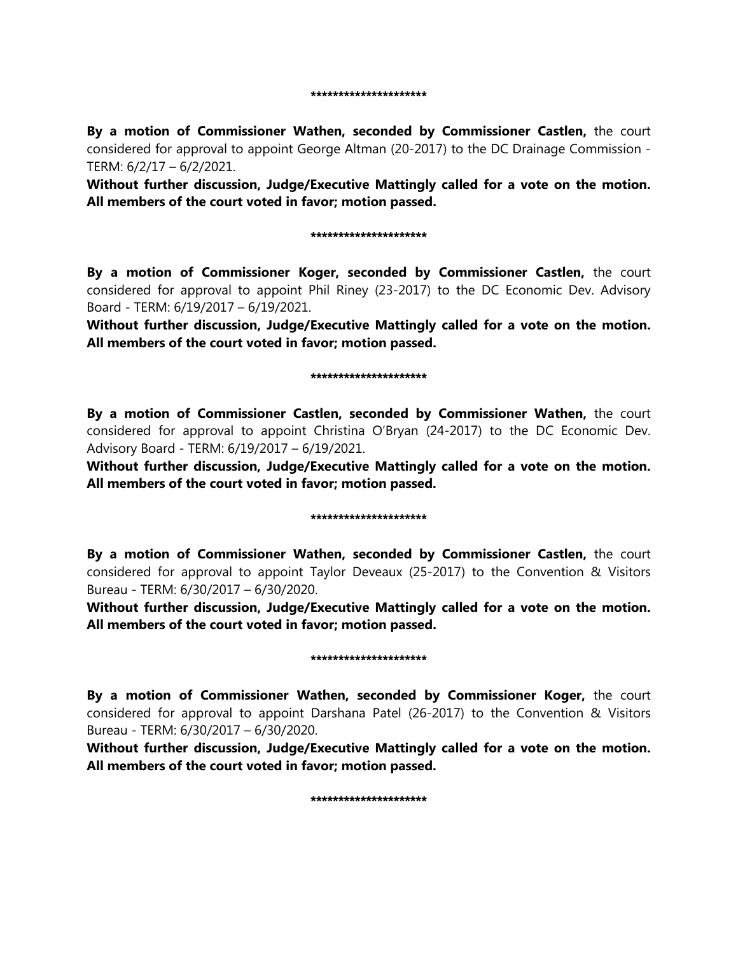#### \*\*\*\*\*\*\*\*\*\*\*\*\*\*\*\*\*\*\*\*

**By a motion of Commissioner Wathen, seconded by Commissioner Castlen,** the court considered for approval to appoint George Altman (20-2017) to the DC Drainage Commission - TERM: 6/2/17 – 6/2/2021.

**Without further discussion, Judge/Executive Mattingly called for a vote on the motion. All members of the court voted in favor; motion passed.** 

#### \*\*\*\*\*\*\*\*\*\*\*\*\*\*\*\*\*\*\*\*

**By a motion of Commissioner Koger, seconded by Commissioner Castlen,** the court considered for approval to appoint Phil Riney (23-2017) to the DC Economic Dev. Advisory Board - TERM: 6/19/2017 – 6/19/2021.

**Without further discussion, Judge/Executive Mattingly called for a vote on the motion. All members of the court voted in favor; motion passed.** 

#### \*\*\*\*\*\*\*\*\*\*\*\*\*\*\*\*\*\*\*\*\*

**By a motion of Commissioner Castlen, seconded by Commissioner Wathen,** the court considered for approval to appoint Christina O'Bryan (24-2017) to the DC Economic Dev. Advisory Board - TERM: 6/19/2017 – 6/19/2021.

**Without further discussion, Judge/Executive Mattingly called for a vote on the motion. All members of the court voted in favor; motion passed.** 

#### \*\*\*\*\*\*\*\*\*\*\*\*\*\*\*\*\*\*\*

**By a motion of Commissioner Wathen, seconded by Commissioner Castlen,** the court considered for approval to appoint Taylor Deveaux (25-2017) to the Convention & Visitors Bureau - TERM: 6/30/2017 – 6/30/2020.

**Without further discussion, Judge/Executive Mattingly called for a vote on the motion. All members of the court voted in favor; motion passed.** 

#### \*\*\*\*\*\*\*\*\*\*\*\*\*\*\*\*\*\*\*

**By a motion of Commissioner Wathen, seconded by Commissioner Koger,** the court considered for approval to appoint Darshana Patel (26-2017) to the Convention & Visitors Bureau - TERM: 6/30/2017 – 6/30/2020.

**Without further discussion, Judge/Executive Mattingly called for a vote on the motion. All members of the court voted in favor; motion passed.** 

\*\*\*\*\*\*\*\*\*\*\*\*\*\*\*\*\*\*\*